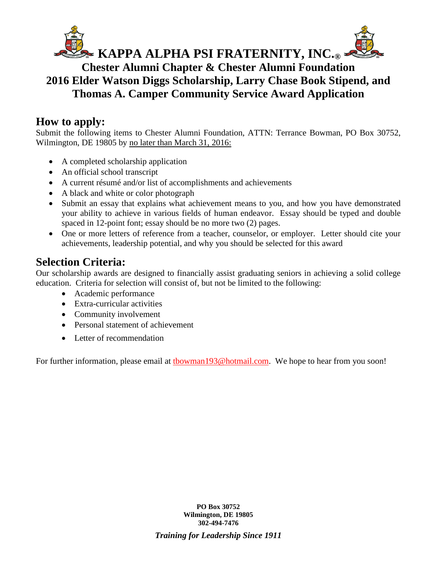

## **Chester Alumni Chapter & Chester Alumni Foundation 2016 Elder Watson Diggs Scholarship, Larry Chase Book Stipend, and Thomas A. Camper Community Service Award Application**

## **How to apply:**

Submit the following items to Chester Alumni Foundation, ATTN: Terrance Bowman, PO Box 30752, Wilmington, DE 19805 by no later than March 31, 2016:

- A completed scholarship application
- An official school transcript
- A current résumé and/or list of accomplishments and achievements
- A black and white or color photograph
- Submit an essay that explains what achievement means to you, and how you have demonstrated your ability to achieve in various fields of human endeavor. Essay should be typed and double spaced in 12-point font; essay should be no more two (2) pages.
- One or more letters of reference from a teacher, counselor, or employer. Letter should cite your achievements, leadership potential, and why you should be selected for this award

## **Selection Criteria:**

Our scholarship awards are designed to financially assist graduating seniors in achieving a solid college education. Criteria for selection will consist of, but not be limited to the following:

- Academic performance
- Extra-curricular activities
- Community involvement
- Personal statement of achievement
- Letter of recommendation

For further information, please email at **thowman193@hotmail.com**. We hope to hear from you soon!

**PO Box 30752 Wilmington, DE 19805 302-494-7476** *Training for Leadership Since 1911*